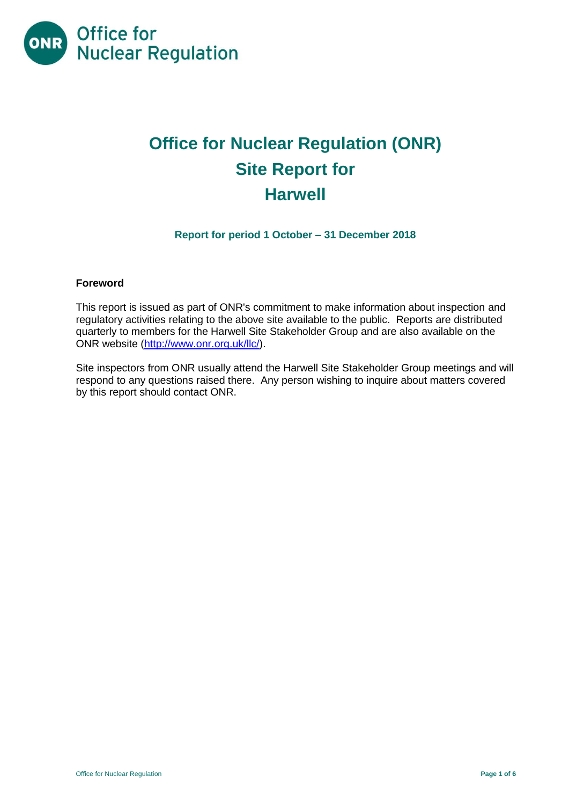

# **Office for Nuclear Regulation (ONR) Site Report for Harwell**

**Report for period 1 October – 31 December 2018**

## **Foreword**

This report is issued as part of ONR's commitment to make information about inspection and regulatory activities relating to the above site available to the public. Reports are distributed quarterly to members for the Harwell Site Stakeholder Group and are also available on the ONR website [\(http://www.onr.org.uk/llc/\)](http://www.onr.org.uk/llc/).

Site inspectors from ONR usually attend the Harwell Site Stakeholder Group meetings and will respond to any questions raised there. Any person wishing to inquire about matters covered by this report should contact ONR.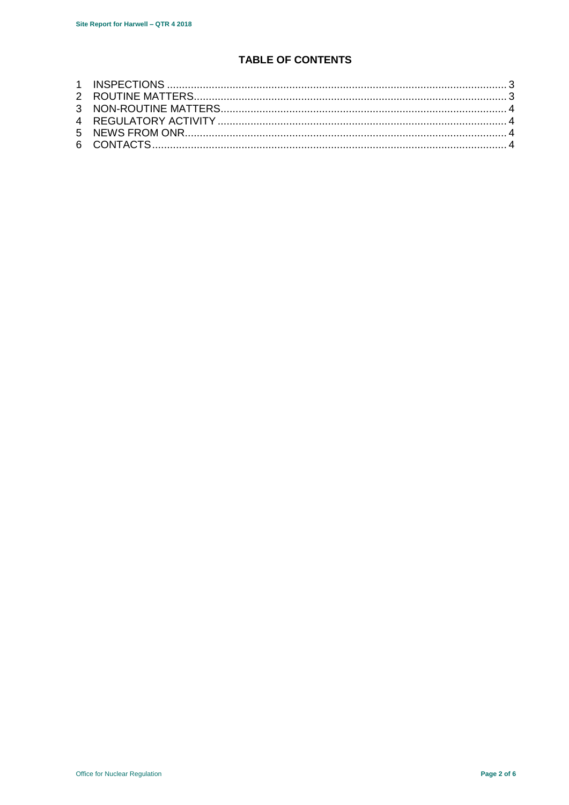# **TABLE OF CONTENTS**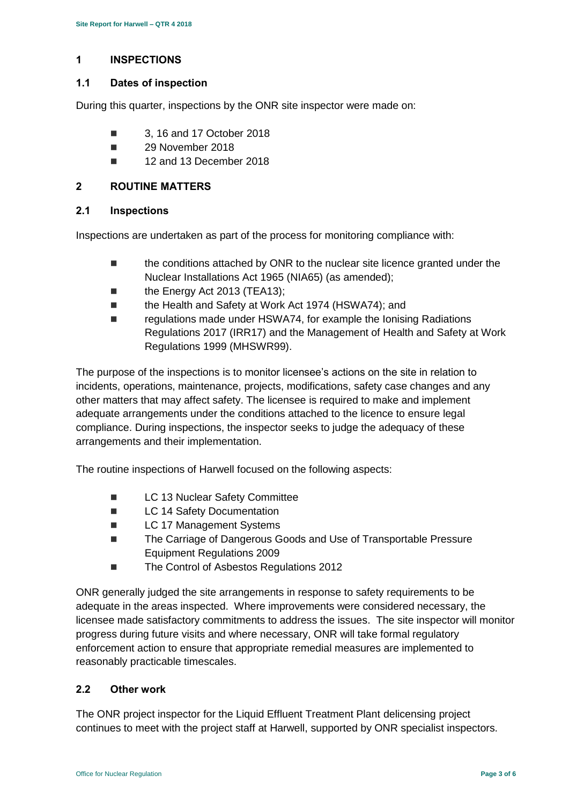# <span id="page-2-0"></span>**1 INSPECTIONS**

## **1.1 Dates of inspection**

During this quarter, inspections by the ONR site inspector were made on:

- 3, 16 and 17 October 2018
- 29 November 2018
- 12 and 13 December 2018

# <span id="page-2-1"></span>**2 ROUTINE MATTERS**

## **2.1 Inspections**

Inspections are undertaken as part of the process for monitoring compliance with:

- **the conditions attached by ONR to the nuclear site licence granted under the** Nuclear Installations Act 1965 (NIA65) (as amended);
- the Energy Act 2013 (TEA13);
- the Health and Safety at Work Act 1974 (HSWA74); and
- regulations made under HSWA74, for example the Ionising Radiations Regulations 2017 (IRR17) and the Management of Health and Safety at Work Regulations 1999 (MHSWR99).

The purpose of the inspections is to monitor licensee's actions on the site in relation to incidents, operations, maintenance, projects, modifications, safety case changes and any other matters that may affect safety. The licensee is required to make and implement adequate arrangements under the conditions attached to the licence to ensure legal compliance. During inspections, the inspector seeks to judge the adequacy of these arrangements and their implementation.

The routine inspections of Harwell focused on the following aspects:

- **LC 13 Nuclear Safety Committee**
- **LC 14 Safety Documentation**
- LC 17 Management Systems
- The Carriage of Dangerous Goods and Use of Transportable Pressure Equipment Regulations 2009
- The Control of Asbestos Regulations 2012

ONR generally judged the site arrangements in response to safety requirements to be adequate in the areas inspected. Where improvements were considered necessary, the licensee made satisfactory commitments to address the issues. The site inspector will monitor progress during future visits and where necessary, ONR will take formal regulatory enforcement action to ensure that appropriate remedial measures are implemented to reasonably practicable timescales.

## **2.2 Other work**

The ONR project inspector for the Liquid Effluent Treatment Plant delicensing project continues to meet with the project staff at Harwell, supported by ONR specialist inspectors.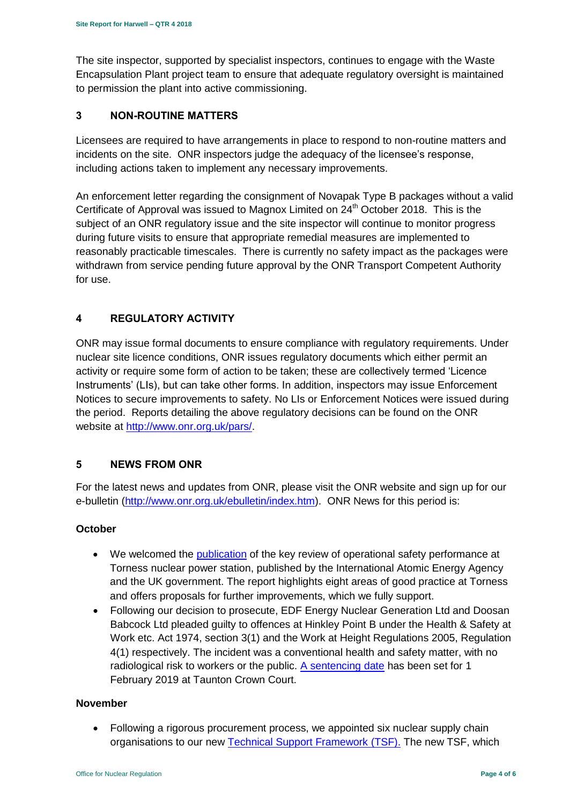The site inspector, supported by specialist inspectors, continues to engage with the Waste Encapsulation Plant project team to ensure that adequate regulatory oversight is maintained to permission the plant into active commissioning.

# <span id="page-3-0"></span>**3 NON-ROUTINE MATTERS**

Licensees are required to have arrangements in place to respond to non-routine matters and incidents on the site. ONR inspectors judge the adequacy of the licensee's response, including actions taken to implement any necessary improvements.

An enforcement letter regarding the consignment of Novapak Type B packages without a valid Certificate of Approval was issued to Magnox Limited on  $24<sup>th</sup>$  October 2018. This is the subject of an ONR regulatory issue and the site inspector will continue to monitor progress during future visits to ensure that appropriate remedial measures are implemented to reasonably practicable timescales. There is currently no safety impact as the packages were withdrawn from service pending future approval by the ONR Transport Competent Authority for use.

# <span id="page-3-1"></span>**4 REGULATORY ACTIVITY**

ONR may issue formal documents to ensure compliance with regulatory requirements. Under nuclear site licence conditions, ONR issues regulatory documents which either permit an activity or require some form of action to be taken; these are collectively termed 'Licence Instruments' (LIs), but can take other forms. In addition, inspectors may issue Enforcement Notices to secure improvements to safety. No LIs or Enforcement Notices were issued during the period. Reports detailing the above regulatory decisions can be found on the ONR website at [http://www.onr.org.uk/pars/.](http://www.onr.org.uk/pars/)

# <span id="page-3-2"></span>**5 NEWS FROM ONR**

<span id="page-3-3"></span>For the latest news and updates from ONR, please visit the ONR website and sign up for our e-bulletin [\(http://www.onr.org.uk/ebulletin/index.htm\)](http://www.onr.org.uk/ebulletin/index.htm). ONR News for this period is:

## **October**

- We welcomed the [publication](http://news.onr.org.uk/2018/10/iaea-review-torness-power-station/) of the key review of operational safety performance at Torness nuclear power station, published by the International Atomic Energy Agency and the UK government. The report highlights eight areas of good practice at Torness and offers proposals for further improvements, which we fully support.
- Following our decision to prosecute, EDF Energy Nuclear Generation Ltd and Doosan Babcock Ltd pleaded guilty to offences at Hinkley Point B under the Health & Safety at Work etc. Act 1974, section 3(1) and the Work at Height Regulations 2005, Regulation 4(1) respectively. The incident was a conventional health and safety matter, with no radiological risk to workers or the public.  $A$  sentencing date has been set for 1 February 2019 at Taunton Crown Court.

#### **November**

• Following a rigorous procurement process, we appointed six nuclear supply chain organisations to our new [Technical Support Framework \(TSF\).](http://news.onr.org.uk/2018/11/new-technical-support-framework-announced/) The new TSF, which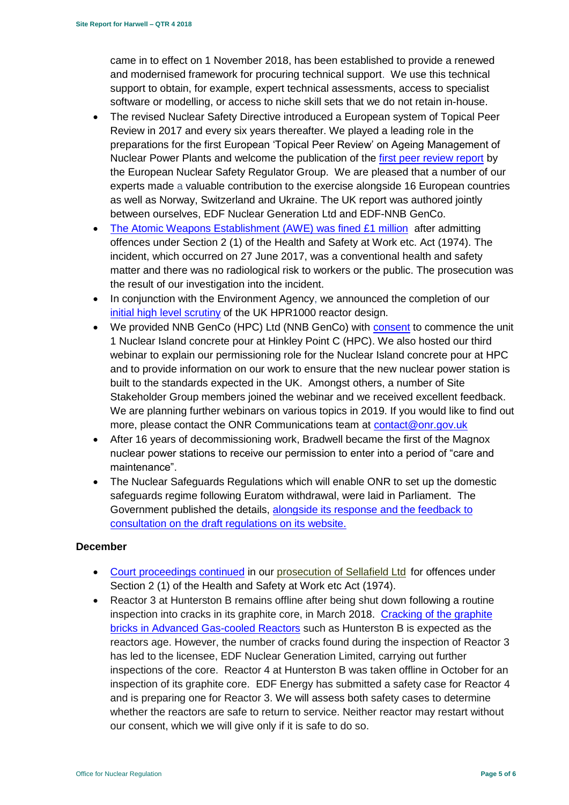came in to effect on 1 November 2018, has been established to provide a renewed and modernised framework for procuring technical support. We use this technical support to obtain, for example, expert technical assessments, access to specialist software or modelling, or access to niche skill sets that we do not retain in-house.

- The revised Nuclear Safety Directive introduced a European system of Topical Peer Review in 2017 and every six years thereafter. We played a leading role in the preparations for the first European 'Topical Peer Review' on Ageing Management of Nuclear Power Plants and welcome the publication of the [first peer review report](http://news.onr.org.uk/2018/11/onr-welcomes-first-topical-peer-review/) by the European Nuclear Safety Regulator Group. We are pleased that a number of our experts made a valuable contribution to the exercise alongside 16 European countries as well as Norway, Switzerland and Ukraine. The UK report was authored jointly between ourselves, EDF Nuclear Generation Ltd and EDF-NNB GenCo.
- [The Atomic Weapons Establishment \(AWE\) was fined £1 million](http://news.onr.org.uk/2018/11/awe-prosecution-reaction/) after admitting offences under Section 2 (1) of the Health and Safety at Work etc. Act (1974). The incident, which occurred on 27 June 2017, was a conventional health and safety matter and there was no radiological risk to workers or the public. The prosecution was the result of our investigation into the incident.
- In conjunction with the Environment Agency, we announced the completion of our [initial high level scrutiny](http://news.onr.org.uk/2018/11/uk-hpr1000-completes-gda-step-2/) of the UK HPR1000 reactor design.
- We provided NNB GenCo (HPC) Ltd (NNB GenCo) with [consent](http://news.onr.org.uk/2018/11/consent-for-hinkley-point-c-nuclear-island-concrete-pour/) to commence the unit 1 Nuclear Island concrete pour at Hinkley Point C (HPC). We also hosted our third webinar to explain our permissioning role for the Nuclear Island concrete pour at HPC and to provide information on our work to ensure that the new nuclear power station is built to the standards expected in the UK. Amongst others, a number of Site Stakeholder Group members joined the webinar and we received excellent feedback. We are planning further webinars on various topics in 2019. If you would like to find out more, please contact the ONR Communications team at [contact@onr.gov.uk](mailto:contact@onr.gov.uk)
- After 16 years of decommissioning work, Bradwell became the first of the Magnox nuclear power stations to receive our permission to enter into a period of "care and maintenance".
- The Nuclear Safeguards Regulations which will enable ONR to set up the domestic safeguards regime following Euratom withdrawal, were laid in Parliament. The Government published the details, [alongside its response and the feedback to](https://www.gov.uk/government/consultations/nuclear-safeguards-regulations)  [consultation on the draft regulations on its website.](https://www.gov.uk/government/consultations/nuclear-safeguards-regulations)

## **December**

- [Court proceedings continued](http://news.onr.org.uk/2018/12/prosecution-of-sellafield-ltd/) in our [prosecution of Sellafield Ltd](http://news.onr.org.uk/2018/07/update-prosecution-of-sellafield-ltd/) for offences under Section 2 (1) of the Health and Safety at Work etc Act (1974).
- Reactor 3 at Hunterston B remains offline after being shut down following a routine inspection into cracks in its graphite core, in March 2018. [Cracking of the graphite](http://www.onr.org.uk/civil-nuclear-reactors/graphite-core-of-agrs.htm)  [bricks in Advanced Gas-cooled Reactors](http://www.onr.org.uk/civil-nuclear-reactors/graphite-core-of-agrs.htm) such as Hunterston B is expected as the reactors age. However, the number of cracks found during the inspection of Reactor 3 has led to the licensee, EDF Nuclear Generation Limited, carrying out further inspections of the core. Reactor 4 at Hunterston B was taken offline in October for an inspection of its graphite core. EDF Energy has submitted a safety case for Reactor 4 and is preparing one for Reactor 3. We will assess both safety cases to determine whether the reactors are safe to return to service. Neither reactor may restart without our consent, which we will give only if it is safe to do so.